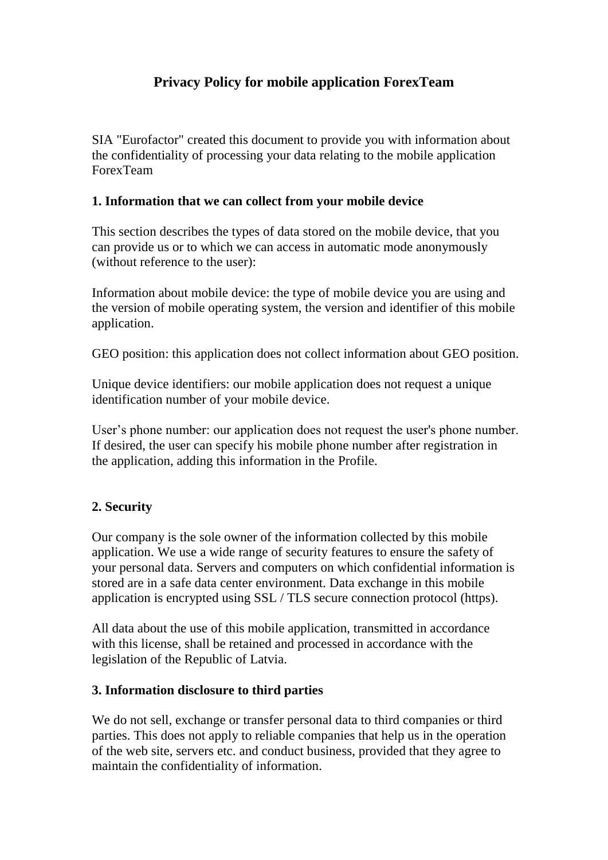# **Privacy Policy for mobile application ForexTeam**

SIA "Eurofactor" created this document to provide you with information about the confidentiality of processing your data relating to the mobile application ForexTeam

## **1. Information that we can collect from your mobile device**

This section describes the types of data stored on the mobile device, that you can provide us or to which we can access in automatic mode anonymously (without reference to the user):

Information about mobile device: the type of mobile device you are using and the version of mobile operating system, the version and identifier of this mobile application.

GEO position: this application does not collect information about GEO position.

Unique device identifiers: our mobile application does not request a unique identification number of your mobile device.

User's phone number: our application does not request the user's phone number. If desired, the user can specify his mobile phone number after registration in the application, adding this information in the Profile.

# **2. Security**

Our company is the sole owner of the information collected by this mobile application. We use a wide range of security features to ensure the safety of your personal data. Servers and computers on which confidential information is stored are in a safe data center environment. Data exchange in this mobile application is encrypted using SSL / TLS secure connection protocol (https).

All data about the use of this mobile application, transmitted in accordance with this license, shall be retained and processed in accordance with the legislation of the Republic of Latvia.

#### **3. Information disclosure to third parties**

We do not sell, exchange or transfer personal data to third companies or third parties. This does not apply to reliable companies that help us in the operation of the web site, servers etc. and conduct business, provided that they agree to maintain the confidentiality of information.